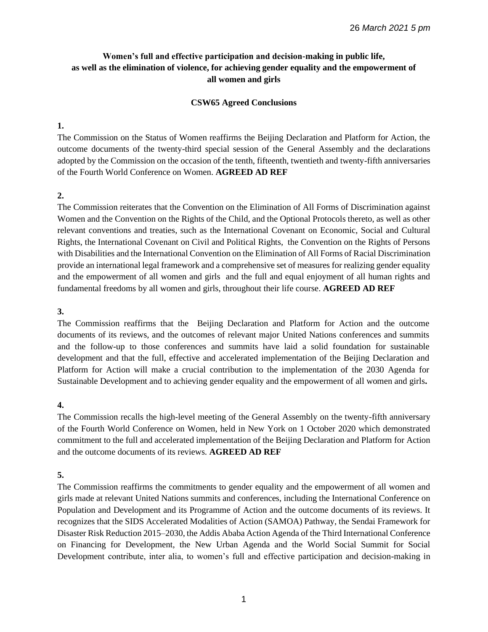# **Women's full and effective participation and decision-making in public life, as well as the elimination of violence, for achieving gender equality and the empowerment of all women and girls**

### **CSW65 Agreed Conclusions**

### **1.**

The Commission on the Status of Women reaffirms the Beijing Declaration and Platform for Action, the outcome documents of the twenty-third special session of the General Assembly and the declarations adopted by the Commission on the occasion of the tenth, fifteenth, twentieth and twenty-fifth anniversaries of the Fourth World Conference on Women. **AGREED AD REF**

# **2.**

The Commission reiterates that the Convention on the Elimination of All Forms of Discrimination against Women and the Convention on the Rights of the Child, and the Optional Protocols thereto, as well as other relevant conventions and treaties, such as the International Covenant on Economic, Social and Cultural Rights, the International Covenant on Civil and Political Rights, the Convention on the Rights of Persons with Disabilities and the International Convention on the Elimination of All Forms of Racial Discrimination provide an international legal framework and a comprehensive set of measures for realizing gender equality and the empowerment of all women and girls and the full and equal enjoyment of all human rights and fundamental freedoms by all women and girls, throughout their life course. **AGREED AD REF**

### **3.**

The Commission reaffirms that the Beijing Declaration and Platform for Action and the outcome documents of its reviews, and the outcomes of relevant major United Nations conferences and summits and the follow-up to those conferences and summits have laid a solid foundation for sustainable development and that the full, effective and accelerated implementation of the Beijing Declaration and Platform for Action will make a crucial contribution to the implementation of the 2030 Agenda for Sustainable Development and to achieving gender equality and the empowerment of all women and girls**.**

### **4.**

The Commission recalls the high-level meeting of the General Assembly on the twenty-fifth anniversary of the Fourth World Conference on Women, held in New York on 1 October 2020 which demonstrated commitment to the full and accelerated implementation of the Beijing Declaration and Platform for Action and the outcome documents of its reviews. **AGREED AD REF**

# **5.**

The Commission reaffirms the commitments to gender equality and the empowerment of all women and girls made at relevant United Nations summits and conferences, including the International Conference on Population and Development and its Programme of Action and the outcome documents of its reviews. It recognizes that the SIDS Accelerated Modalities of Action (SAMOA) Pathway, the Sendai Framework for Disaster Risk Reduction 2015–2030, the Addis Ababa Action Agenda of the Third International Conference on Financing for Development, the New Urban Agenda and the World Social Summit for Social Development contribute, inter alia, to women's full and effective participation and decision-making in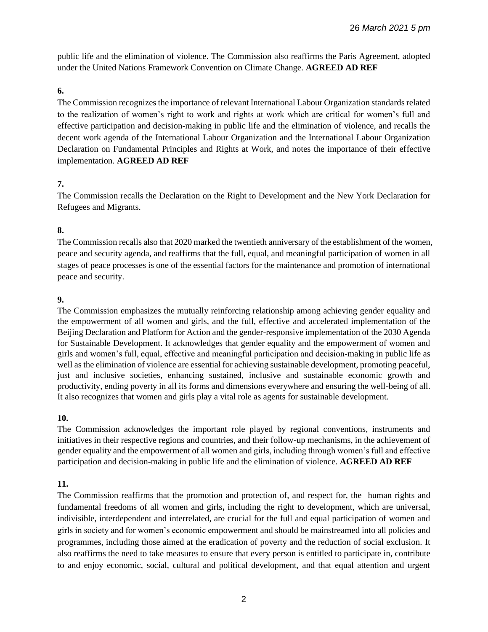public life and the elimination of violence. The Commission also reaffirms the Paris Agreement, adopted under the United Nations Framework Convention on Climate Change. **AGREED AD REF**

# **6.**

The Commission recognizes the importance of relevant International Labour Organization standards related to the realization of women's right to work and rights at work which are critical for women's full and effective participation and decision-making in public life and the elimination of violence, and recalls the decent work agenda of the International Labour Organization and the International Labour Organization Declaration on Fundamental Principles and Rights at Work, and notes the importance of their effective implementation. **AGREED AD REF**

# **7.**

The Commission recalls the Declaration on the Right to Development and the New York Declaration for Refugees and Migrants.

# **8.**

The Commission recalls also that 2020 marked the twentieth anniversary of the establishment of the women, peace and security agenda, and reaffirms that the full, equal, and meaningful participation of women in all stages of peace processes is one of the essential factors for the maintenance and promotion of international peace and security.

# **9.**

The Commission emphasizes the mutually reinforcing relationship among achieving gender equality and the empowerment of all women and girls, and the full, effective and accelerated implementation of the Beijing Declaration and Platform for Action and the gender-responsive implementation of the 2030 Agenda for Sustainable Development. It acknowledges that gender equality and the empowerment of women and girls and women's full, equal, effective and meaningful participation and decision-making in public life as well as the elimination of violence are essential for achieving sustainable development, promoting peaceful, just and inclusive societies, enhancing sustained, inclusive and sustainable economic growth and productivity, ending poverty in all its forms and dimensions everywhere and ensuring the well-being of all. It also recognizes that women and girls play a vital role as agents for sustainable development.

# **10.**

The Commission acknowledges the important role played by regional conventions, instruments and initiatives in their respective regions and countries, and their follow-up mechanisms, in the achievement of gender equality and the empowerment of all women and girls, including through women's full and effective participation and decision-making in public life and the elimination of violence. **AGREED AD REF**

# **11.**

The Commission reaffirms that the promotion and protection of, and respect for, the human rights and fundamental freedoms of all women and girls**,** including the right to development, which are universal, indivisible, interdependent and interrelated, are crucial for the full and equal participation of women and girls in society and for women's economic empowerment and should be mainstreamed into all policies and programmes, including those aimed at the eradication of poverty and the reduction of social exclusion. It also reaffirms the need to take measures to ensure that every person is entitled to participate in, contribute to and enjoy economic, social, cultural and political development, and that equal attention and urgent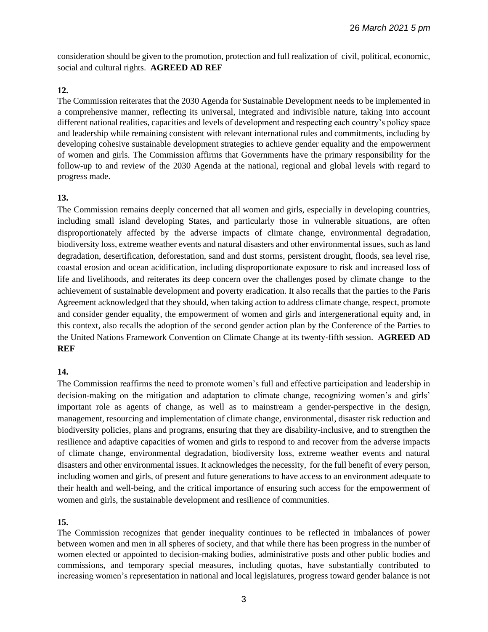consideration should be given to the promotion, protection and full realization of civil, political, economic, social and cultural rights. **AGREED AD REF**

# **12.**

The Commission reiterates that the 2030 Agenda for Sustainable Development needs to be implemented in a comprehensive manner, reflecting its universal, integrated and indivisible nature, taking into account different national realities, capacities and levels of development and respecting each country's policy space and leadership while remaining consistent with relevant international rules and commitments, including by developing cohesive sustainable development strategies to achieve gender equality and the empowerment of women and girls. The Commission affirms that Governments have the primary responsibility for the follow-up to and review of the 2030 Agenda at the national, regional and global levels with regard to progress made.

### **13.**

The Commission remains deeply concerned that all women and girls, especially in developing countries, including small island developing States, and particularly those in vulnerable situations, are often disproportionately affected by the adverse impacts of climate change, environmental degradation, biodiversity loss, extreme weather events and natural disasters and other environmental issues, such as land degradation, desertification, deforestation, sand and dust storms, persistent drought, floods, sea level rise, coastal erosion and ocean acidification, including disproportionate exposure to risk and increased loss of life and livelihoods, and reiterates its deep concern over the challenges posed by climate change to the achievement of sustainable development and poverty eradication. It also recalls that the parties to the Paris Agreement acknowledged that they should, when taking action to address climate change, respect, promote and consider gender equality, the empowerment of women and girls and intergenerational equity and, in this context, also recalls the adoption of the second gender action plan by the Conference of the Parties to the United Nations Framework Convention on Climate Change at its twenty-fifth session. **AGREED AD REF**

# **14.**

The Commission reaffirms the need to promote women's full and effective participation and leadership in decision-making on the mitigation and adaptation to climate change, recognizing women's and girls' important role as agents of change, as well as to mainstream a gender-perspective in the design, management, resourcing and implementation of climate change, environmental, disaster risk reduction and biodiversity policies, plans and programs, ensuring that they are disability-inclusive, and to strengthen the resilience and adaptive capacities of women and girls to respond to and recover from the adverse impacts of climate change, environmental degradation, biodiversity loss, extreme weather events and natural disasters and other environmental issues. It acknowledges the necessity, for the full benefit of every person, including women and girls, of present and future generations to have access to an environment adequate to their health and well-being, and the critical importance of ensuring such access for the empowerment of women and girls, the sustainable development and resilience of communities.

# **15.**

The Commission recognizes that gender inequality continues to be reflected in imbalances of power between women and men in all spheres of society, and that while there has been progress in the number of women elected or appointed to decision-making bodies, administrative posts and other public bodies and commissions, and temporary special measures, including quotas, have substantially contributed to increasing women's representation in national and local legislatures, progress toward gender balance is not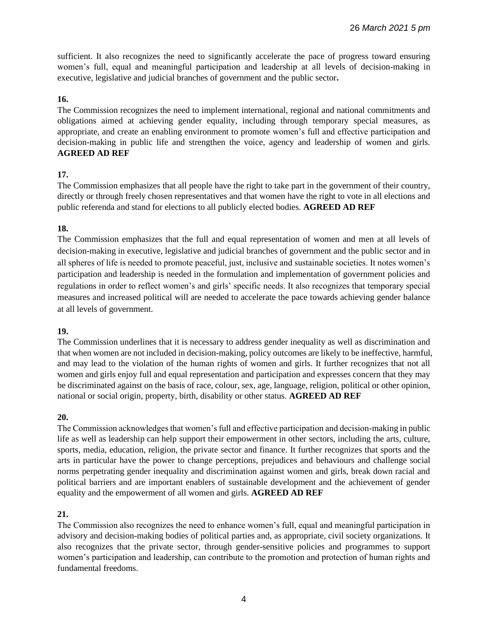sufficient. It also recognizes the need to significantly accelerate the pace of progress toward ensuring women's full, equal and meaningful participation and leadership at all levels of decision-making in executive, legislative and judicial branches of government and the public sector**.** 

### **16.**

The Commission recognizes the need to implement international, regional and national commitments and obligations aimed at achieving gender equality, including through temporary special measures, as appropriate, and create an enabling environment to promote women's full and effective participation and decision-making in public life and strengthen the voice, agency and leadership of women and girls. **AGREED AD REF**

### **17.**

The Commission emphasizes that all people have the right to take part in the government of their country, directly or through freely chosen representatives and that women have the right to vote in all elections and public referenda and stand for elections to all publicly elected bodies. **AGREED AD REF**

# **18.**

The Commission emphasizes that the full and equal representation of women and men at all levels of decision-making in executive, legislative and judicial branches of government and the public sector and in all spheres of life is needed to promote peaceful, just, inclusive and sustainable societies. It notes women's participation and leadership is needed in the formulation and implementation of government policies and regulations in order to reflect women's and girls' specific needs. It also recognizes that temporary special measures and increased political will are needed to accelerate the pace towards achieving gender balance at all levels of government.

### **19.**

The Commission underlines that it is necessary to address gender inequality as well as discrimination and that when women are not included in decision-making, policy outcomes are likely to be ineffective, harmful, and may lead to the violation of the human rights of women and girls. It further recognizes that not all women and girls enjoy full and equal representation and participation and expresses concern that they may be discriminated against on the basis of race, colour, sex, age, language, religion, political or other opinion, national or social origin, property, birth, disability or other status. **AGREED AD REF**

# **20.**

The Commission acknowledges that women's full and effective participation and decision-making in public life as well as leadership can help support their empowerment in other sectors, including the arts, culture, sports, media, education, religion, the private sector and finance. It further recognizes that sports and the arts in particular have the power to change perceptions, prejudices and behaviours and challenge social norms perpetrating gender inequality and discrimination against women and girls, break down racial and political barriers and are important enablers of sustainable development and the achievement of gender equality and the empowerment of all women and girls. **AGREED AD REF**

# **21.**

The Commission also recognizes the need to enhance women's full, equal and meaningful participation in advisory and decision-making bodies of political parties and, as appropriate, civil society organizations. It also recognizes that the private sector, through gender-sensitive policies and programmes to support women's participation and leadership, can contribute to the promotion and protection of human rights and fundamental freedoms.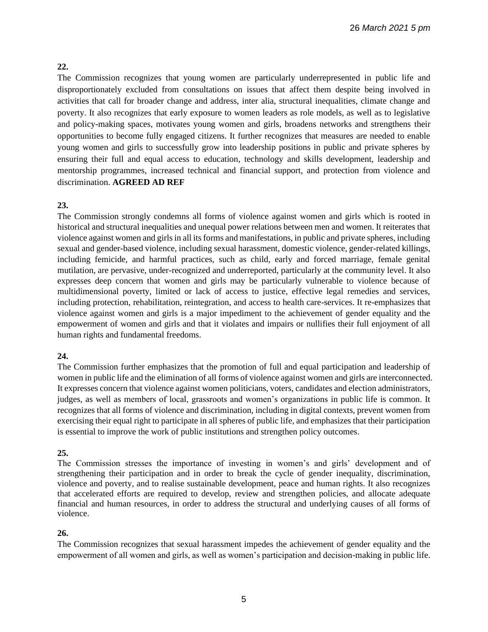### **22.**

The Commission recognizes that young women are particularly underrepresented in public life and disproportionately excluded from consultations on issues that affect them despite being involved in activities that call for broader change and address, inter alia, structural inequalities, climate change and poverty. It also recognizes that early exposure to women leaders as role models, as well as to legislative and policy-making spaces, motivates young women and girls, broadens networks and strengthens their opportunities to become fully engaged citizens. It further recognizes that measures are needed to enable young women and girls to successfully grow into leadership positions in public and private spheres by ensuring their full and equal access to education, technology and skills development, leadership and mentorship programmes, increased technical and financial support, and protection from violence and discrimination. **AGREED AD REF**

### **23.**

The Commission strongly condemns all forms of violence against women and girls which is rooted in historical and structural inequalities and unequal power relations between men and women. It reiterates that violence against women and girls in all its forms and manifestations, in public and private spheres, including sexual and gender-based violence, including sexual harassment, domestic violence, gender-related killings, including femicide, and harmful practices, such as child, early and forced marriage, female genital mutilation, are pervasive, under-recognized and underreported, particularly at the community level. It also expresses deep concern that women and girls may be particularly vulnerable to violence because of multidimensional poverty, limited or lack of access to justice, effective legal remedies and services, including protection, rehabilitation, reintegration, and access to health care-services. It re-emphasizes that violence against women and girls is a major impediment to the achievement of gender equality and the empowerment of women and girls and that it violates and impairs or nullifies their full enjoyment of all human rights and fundamental freedoms.

### **24.**

The Commission further emphasizes that the promotion of full and equal participation and leadership of women in public life and the elimination of all forms of violence against women and girls are interconnected. It expresses concern that violence against women politicians, voters, candidates and election administrators, judges, as well as members of local, grassroots and women's organizations in public life is common. It recognizes that all forms of violence and discrimination, including in digital contexts, prevent women from exercising their equal right to participate in all spheres of public life, and emphasizes that their participation is essential to improve the work of public institutions and strengthen policy outcomes.

### **25.**

The Commission stresses the importance of investing in women's and girls' development and of strengthening their participation and in order to break the cycle of gender inequality, discrimination, violence and poverty, and to realise sustainable development, peace and human rights. It also recognizes that accelerated efforts are required to develop, review and strengthen policies, and allocate adequate financial and human resources, in order to address the structural and underlying causes of all forms of violence.

### **26.**

The Commission recognizes that sexual harassment impedes the achievement of gender equality and the empowerment of all women and girls, as well as women's participation and decision-making in public life.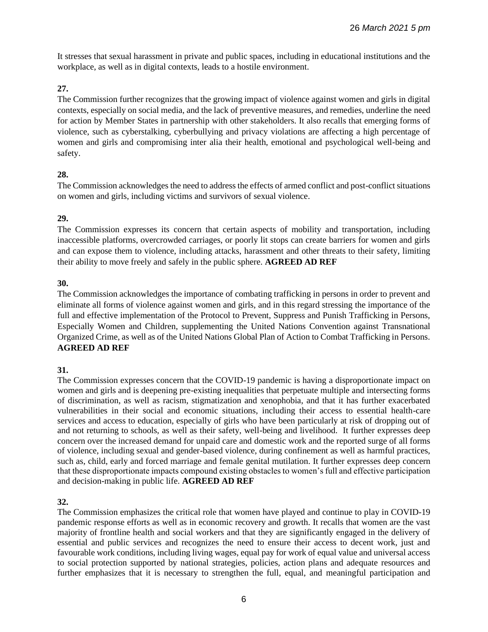It stresses that sexual harassment in private and public spaces, including in educational institutions and the workplace, as well as in digital contexts, leads to a hostile environment.

### **27.**

The Commission further recognizes that the growing impact of violence against women and girls in digital contexts, especially on social media, and the lack of preventive measures, and remedies, underline the need for action by Member States in partnership with other stakeholders. It also recalls that emerging forms of violence, such as cyberstalking, cyberbullying and privacy violations are affecting a high percentage of women and girls and compromising inter alia their health, emotional and psychological well-being and safety.

### **28.**

The Commission acknowledges the need to address the effects of armed conflict and post-conflict situations on women and girls, including victims and survivors of sexual violence.

### **29.**

The Commission expresses its concern that certain aspects of mobility and transportation, including inaccessible platforms, overcrowded carriages, or poorly lit stops can create barriers for women and girls and can expose them to violence, including attacks, harassment and other threats to their safety, limiting their ability to move freely and safely in the public sphere. **AGREED AD REF**

### **30.**

The Commission acknowledges the importance of combating trafficking in persons in order to prevent and eliminate all forms of violence against women and girls, and in this regard stressing the importance of the full and effective implementation of the Protocol to Prevent, Suppress and Punish Trafficking in Persons, Especially Women and Children, supplementing the United Nations Convention against Transnational Organized Crime, as well as of the United Nations Global Plan of Action to Combat Trafficking in Persons. **AGREED AD REF**

# **31.**

The Commission expresses concern that the COVID-19 pandemic is having a disproportionate impact on women and girls and is deepening pre-existing inequalities that perpetuate multiple and intersecting forms of discrimination, as well as racism, stigmatization and xenophobia, and that it has further exacerbated vulnerabilities in their social and economic situations, including their access to essential health-care services and access to education, especially of girls who have been particularly at risk of dropping out of and not returning to schools, as well as their safety, well-being and livelihood. It further expresses deep concern over the increased demand for unpaid care and domestic work and the reported surge of all forms of violence, including sexual and gender-based violence, during confinement as well as harmful practices, such as, child, early and forced marriage and female genital mutilation. It further expresses deep concern that these disproportionate impacts compound existing obstacles to women's full and effective participation and decision-making in public life. **AGREED AD REF**

# **32.**

The Commission emphasizes the critical role that women have played and continue to play in COVID-19 pandemic response efforts as well as in economic recovery and growth. It recalls that women are the vast majority of frontline health and social workers and that they are significantly engaged in the delivery of essential and public services and recognizes the need to ensure their access to decent work, just and favourable work conditions, including living wages, equal pay for work of equal value and universal access to social protection supported by national strategies, policies, action plans and adequate resources and further emphasizes that it is necessary to strengthen the full, equal, and meaningful participation and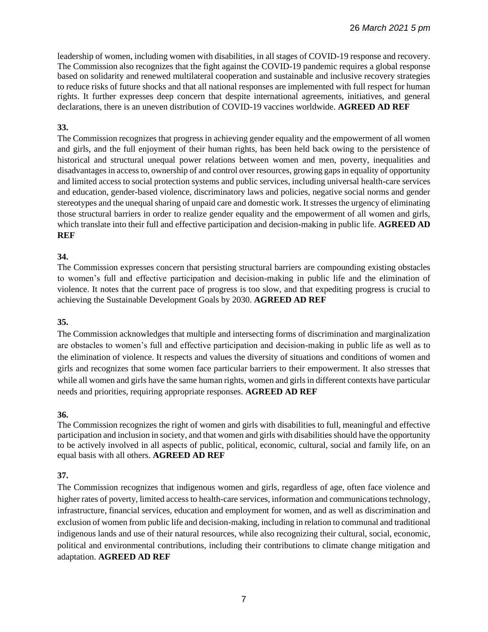leadership of women, including women with disabilities, in all stages of COVID-19 response and recovery. The Commission also recognizes that the fight against the COVID-19 pandemic requires a global response based on solidarity and renewed multilateral cooperation and sustainable and inclusive recovery strategies to reduce risks of future shocks and that all national responses are implemented with full respect for human rights. It further expresses deep concern that despite international agreements, initiatives, and general declarations, there is an uneven distribution of COVID-19 vaccines worldwide. **AGREED AD REF**

### **33.**

The Commission recognizes that progress in achieving gender equality and the empowerment of all women and girls, and the full enjoyment of their human rights, has been held back owing to the persistence of historical and structural unequal power relations between women and men, poverty, inequalities and disadvantages in access to, ownership of and control over resources, growing gaps in equality of opportunity and limited access to social protection systems and public services, including universal health-care services and education, gender-based violence, discriminatory laws and policies, negative social norms and gender stereotypes and the unequal sharing of unpaid care and domestic work. It stresses the urgency of eliminating those structural barriers in order to realize gender equality and the empowerment of all women and girls, which translate into their full and effective participation and decision-making in public life. **AGREED AD REF**

### **34.**

The Commission expresses concern that persisting structural barriers are compounding existing obstacles to women's full and effective participation and decision-making in public life and the elimination of violence. It notes that the current pace of progress is too slow, and that expediting progress is crucial to achieving the Sustainable Development Goals by 2030. **AGREED AD REF**

### **35.**

The Commission acknowledges that multiple and intersecting forms of discrimination and marginalization are obstacles to women's full and effective participation and decision-making in public life as well as to the elimination of violence. It respects and values the diversity of situations and conditions of women and girls and recognizes that some women face particular barriers to their empowerment. It also stresses that while all women and girls have the same human rights, women and girls in different contexts have particular needs and priorities, requiring appropriate responses. **AGREED AD REF**

### **36.**

The Commission recognizes the right of women and girls with disabilities to full, meaningful and effective participation and inclusion in society, and that women and girls with disabilities should have the opportunity to be actively involved in all aspects of public, political, economic, cultural, social and family life, on an equal basis with all others. **AGREED AD REF**

# **37.**

The Commission recognizes that indigenous women and girls, regardless of age, often face violence and higher rates of poverty, limited access to health-care services, information and communications technology, infrastructure, financial services, education and employment for women, and as well as discrimination and exclusion of women from public life and decision-making, including in relation to communal and traditional indigenous lands and use of their natural resources, while also recognizing their cultural, social, economic, political and environmental contributions, including their contributions to climate change mitigation and adaptation. **AGREED AD REF**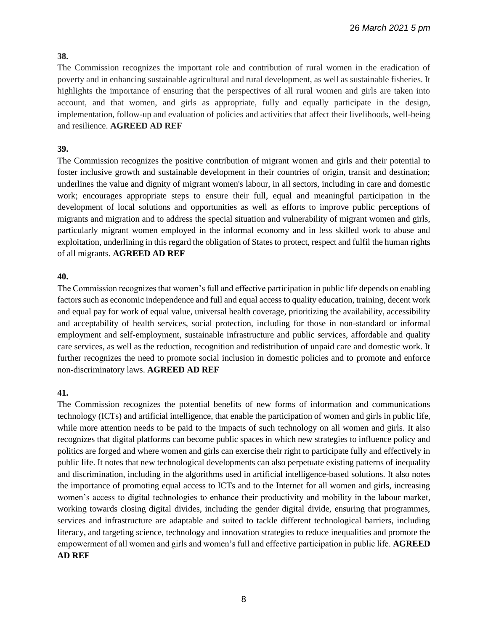# **38.**

The Commission recognizes the important role and contribution of rural women in the eradication of poverty and in enhancing sustainable agricultural and rural development, as well as sustainable fisheries. It highlights the importance of ensuring that the perspectives of all rural women and girls are taken into account, and that women, and girls as appropriate, fully and equally participate in the design, implementation, follow-up and evaluation of policies and activities that affect their livelihoods, well-being and resilience. **AGREED AD REF**

# **39.**

The Commission recognizes the positive contribution of migrant women and girls and their potential to foster inclusive growth and sustainable development in their countries of origin, transit and destination; underlines the value and dignity of migrant women's labour, in all sectors, including in care and domestic work; encourages appropriate steps to ensure their full, equal and meaningful participation in the development of local solutions and opportunities as well as efforts to improve public perceptions of migrants and migration and to address the special situation and vulnerability of migrant women and girls, particularly migrant women employed in the informal economy and in less skilled work to abuse and exploitation, underlining in this regard the obligation of States to protect, respect and fulfil the human rights of all migrants. **AGREED AD REF**

# **40.**

The Commission recognizes that women's full and effective participation in public life depends on enabling factors such as economic independence and full and equal access to quality education, training, decent work and equal pay for work of equal value, universal health coverage, prioritizing the availability, accessibility and acceptability of health services, social protection, including for those in non-standard or informal employment and self-employment, sustainable infrastructure and public services, affordable and quality care services, as well as the reduction, recognition and redistribution of unpaid care and domestic work. It further recognizes the need to promote social inclusion in domestic policies and to promote and enforce non-discriminatory laws. **AGREED AD REF**

# **41.**

The Commission recognizes the potential benefits of new forms of information and communications technology (ICTs) and artificial intelligence, that enable the participation of women and girls in public life, while more attention needs to be paid to the impacts of such technology on all women and girls. It also recognizes that digital platforms can become public spaces in which new strategies to influence policy and politics are forged and where women and girls can exercise their right to participate fully and effectively in public life. It notes that new technological developments can also perpetuate existing patterns of inequality and discrimination, including in the algorithms used in artificial intelligence-based solutions. It also notes the importance of promoting equal access to ICTs and to the Internet for all women and girls, increasing women's access to digital technologies to enhance their productivity and mobility in the labour market, working towards closing digital divides, including the gender digital divide, ensuring that programmes, services and infrastructure are adaptable and suited to tackle different technological barriers, including literacy, and targeting science, technology and innovation strategies to reduce inequalities and promote the empowerment of all women and girls and women's full and effective participation in public life. **AGREED AD REF**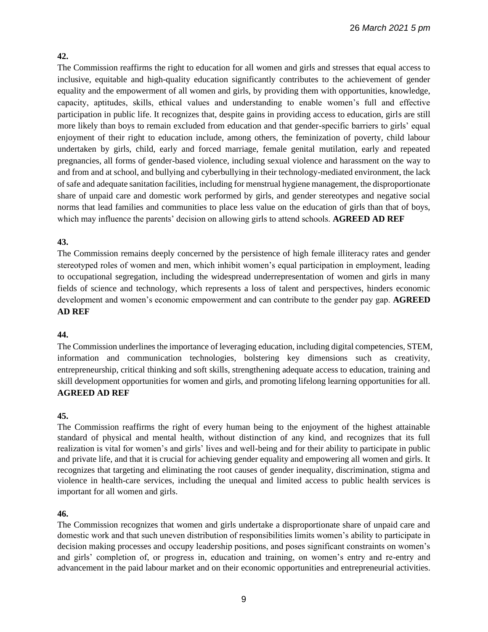# **42.**

The Commission reaffirms the right to education for all women and girls and stresses that equal access to inclusive, equitable and high-quality education significantly contributes to the achievement of gender equality and the empowerment of all women and girls, by providing them with opportunities, knowledge, capacity, aptitudes, skills, ethical values and understanding to enable women's full and effective participation in public life. It recognizes that, despite gains in providing access to education, girls are still more likely than boys to remain excluded from education and that gender-specific barriers to girls' equal enjoyment of their right to education include, among others, the feminization of poverty, child labour undertaken by girls, child, early and forced marriage, female genital mutilation, early and repeated pregnancies, all forms of gender-based violence, including sexual violence and harassment on the way to and from and at school, and bullying and cyberbullying in their technology-mediated environment, the lack of safe and adequate sanitation facilities, including for menstrual hygiene management, the disproportionate share of unpaid care and domestic work performed by girls, and gender stereotypes and negative social norms that lead families and communities to place less value on the education of girls than that of boys, which may influence the parents' decision on allowing girls to attend schools. **AGREED AD REF**

# **43.**

The Commission remains deeply concerned by the persistence of high female illiteracy rates and gender stereotyped roles of women and men, which inhibit women's equal participation in employment, leading to occupational segregation, including the widespread underrepresentation of women and girls in many fields of science and technology, which represents a loss of talent and perspectives, hinders economic development and women's economic empowerment and can contribute to the gender pay gap. **AGREED AD REF**

# **44.**

The Commission underlines the importance of leveraging education, including digital competencies, STEM, information and communication technologies, bolstering key dimensions such as creativity, entrepreneurship, critical thinking and soft skills, strengthening adequate access to education, training and skill development opportunities for women and girls, and promoting lifelong learning opportunities for all. **AGREED AD REF**

# **45.**

The Commission reaffirms the right of every human being to the enjoyment of the highest attainable standard of physical and mental health, without distinction of any kind, and recognizes that its full realization is vital for women's and girls' lives and well-being and for their ability to participate in public and private life, and that it is crucial for achieving gender equality and empowering all women and girls. It recognizes that targeting and eliminating the root causes of gender inequality, discrimination, stigma and violence in health-care services, including the unequal and limited access to public health services is important for all women and girls.

# **46.**

The Commission recognizes that women and girls undertake a disproportionate share of unpaid care and domestic work and that such uneven distribution of responsibilities limits women's ability to participate in decision making processes and occupy leadership positions, and poses significant constraints on women's and girls' completion of, or progress in, education and training, on women's entry and re-entry and advancement in the paid labour market and on their economic opportunities and entrepreneurial activities.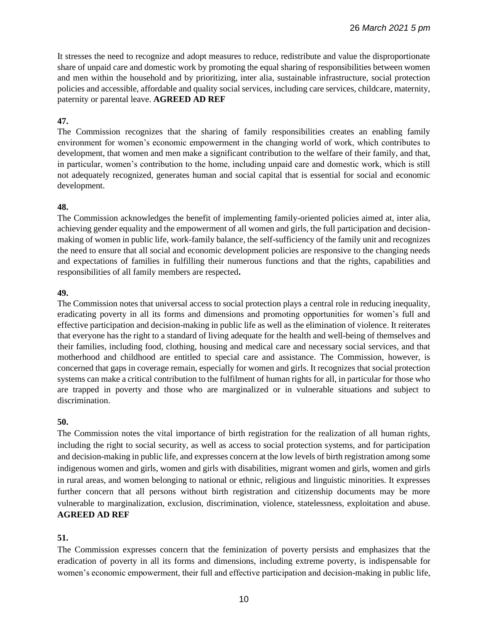It stresses the need to recognize and adopt measures to reduce, redistribute and value the disproportionate share of unpaid care and domestic work by promoting the equal sharing of responsibilities between women and men within the household and by prioritizing, inter alia, sustainable infrastructure, social protection policies and accessible, affordable and quality social services, including care services, childcare, maternity, paternity or parental leave. **AGREED AD REF**

# **47.**

The Commission recognizes that the sharing of family responsibilities creates an enabling family environment for women's economic empowerment in the changing world of work, which contributes to development, that women and men make a significant contribution to the welfare of their family, and that, in particular, women's contribution to the home, including unpaid care and domestic work, which is still not adequately recognized, generates human and social capital that is essential for social and economic development.

### **48.**

The Commission acknowledges the benefit of implementing family-oriented policies aimed at, inter alia, achieving gender equality and the empowerment of all women and girls, the full participation and decisionmaking of women in public life, work-family balance, the self-sufficiency of the family unit and recognizes the need to ensure that all social and economic development policies are responsive to the changing needs and expectations of families in fulfilling their numerous functions and that the rights, capabilities and responsibilities of all family members are respected**.**

### **49.**

The Commission notes that universal access to social protection plays a central role in reducing inequality, eradicating poverty in all its forms and dimensions and promoting opportunities for women's full and effective participation and decision-making in public life as well as the elimination of violence. It reiterates that everyone has the right to a standard of living adequate for the health and well-being of themselves and their families, including food, clothing, housing and medical care and necessary social services, and that motherhood and childhood are entitled to special care and assistance. The Commission, however, is concerned that gaps in coverage remain, especially for women and girls. It recognizes that social protection systems can make a critical contribution to the fulfilment of human rights for all, in particular for those who are trapped in poverty and those who are marginalized or in vulnerable situations and subject to discrimination.

### **50.**

The Commission notes the vital importance of birth registration for the realization of all human rights, including the right to social security, as well as access to social protection systems, and for participation and decision-making in public life, and expresses concern at the low levels of birth registration among some indigenous women and girls, women and girls with disabilities, migrant women and girls, women and girls in rural areas, and women belonging to national or ethnic, religious and linguistic minorities. It expresses further concern that all persons without birth registration and citizenship documents may be more vulnerable to marginalization, exclusion, discrimination, violence, statelessness, exploitation and abuse. **AGREED AD REF**

# **51.**

The Commission expresses concern that the feminization of poverty persists and emphasizes that the eradication of poverty in all its forms and dimensions, including extreme poverty, is indispensable for women's economic empowerment, their full and effective participation and decision-making in public life,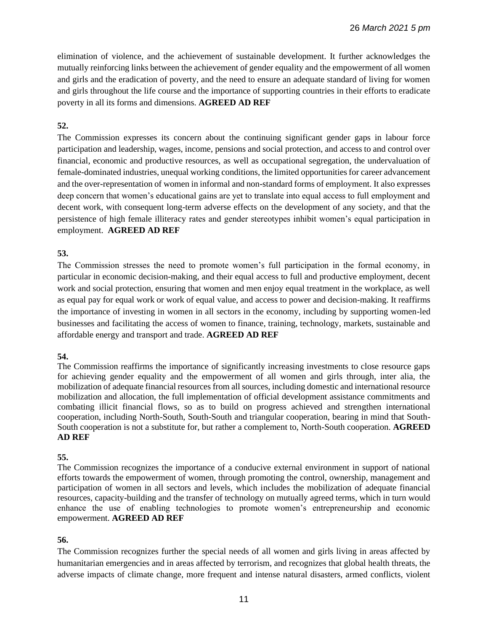elimination of violence, and the achievement of sustainable development. It further acknowledges the mutually reinforcing links between the achievement of gender equality and the empowerment of all women and girls and the eradication of poverty, and the need to ensure an adequate standard of living for women and girls throughout the life course and the importance of supporting countries in their efforts to eradicate poverty in all its forms and dimensions. **AGREED AD REF**

### **52.**

The Commission expresses its concern about the continuing significant gender gaps in labour force participation and leadership, wages, income, pensions and social protection, and access to and control over financial, economic and productive resources, as well as occupational segregation, the undervaluation of female-dominated industries, unequal working conditions, the limited opportunities for career advancement and the over-representation of women in informal and non-standard forms of employment. It also expresses deep concern that women's educational gains are yet to translate into equal access to full employment and decent work, with consequent long-term adverse effects on the development of any society, and that the persistence of high female illiteracy rates and gender stereotypes inhibit women's equal participation in employment. **AGREED AD REF**

### **53.**

The Commission stresses the need to promote women's full participation in the formal economy, in particular in economic decision-making, and their equal access to full and productive employment, decent work and social protection, ensuring that women and men enjoy equal treatment in the workplace, as well as equal pay for equal work or work of equal value, and access to power and decision-making. It reaffirms the importance of investing in women in all sectors in the economy, including by supporting women-led businesses and facilitating the access of women to finance, training, technology, markets, sustainable and affordable energy and transport and trade. **AGREED AD REF**

### **54.**

The Commission reaffirms the importance of significantly increasing investments to close resource gaps for achieving gender equality and the empowerment of all women and girls through, inter alia, the mobilization of adequate financial resources from all sources, including domestic and international resource mobilization and allocation, the full implementation of official development assistance commitments and combating illicit financial flows, so as to build on progress achieved and strengthen international cooperation, including North-South, South-South and triangular cooperation, bearing in mind that South-South cooperation is not a substitute for, but rather a complement to, North-South cooperation. **AGREED AD REF**

### **55.**

The Commission recognizes the importance of a conducive external environment in support of national efforts towards the empowerment of women, through promoting the control, ownership, management and participation of women in all sectors and levels, which includes the mobilization of adequate financial resources, capacity-building and the transfer of technology on mutually agreed terms, which in turn would enhance the use of enabling technologies to promote women's entrepreneurship and economic empowerment. **AGREED AD REF**

# **56.**

The Commission recognizes further the special needs of all women and girls living in areas affected by humanitarian emergencies and in areas affected by terrorism, and recognizes that global health threats, the adverse impacts of climate change, more frequent and intense natural disasters, armed conflicts, violent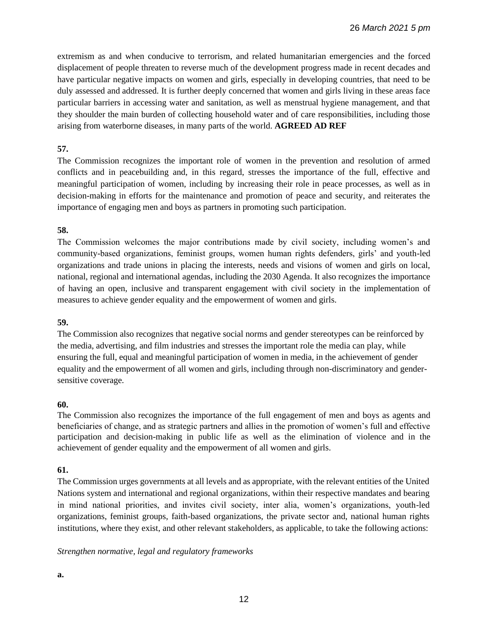extremism as and when conducive to terrorism, and related humanitarian emergencies and the forced displacement of people threaten to reverse much of the development progress made in recent decades and have particular negative impacts on women and girls, especially in developing countries, that need to be duly assessed and addressed. It is further deeply concerned that women and girls living in these areas face particular barriers in accessing water and sanitation, as well as menstrual hygiene management, and that they shoulder the main burden of collecting household water and of care responsibilities, including those arising from waterborne diseases, in many parts of the world. **AGREED AD REF**

# **57.**

The Commission recognizes the important role of women in the prevention and resolution of armed conflicts and in peacebuilding and, in this regard, stresses the importance of the full, effective and meaningful participation of women, including by increasing their role in peace processes, as well as in decision-making in efforts for the maintenance and promotion of peace and security, and reiterates the importance of engaging men and boys as partners in promoting such participation.

### **58.**

The Commission welcomes the major contributions made by civil society, including women's and community-based organizations, feminist groups, women human rights defenders, girls' and youth-led organizations and trade unions in placing the interests, needs and visions of women and girls on local, national, regional and international agendas, including the 2030 Agenda. It also recognizes the importance of having an open, inclusive and transparent engagement with civil society in the implementation of measures to achieve gender equality and the empowerment of women and girls.

# **59.**

The Commission also recognizes that negative social norms and gender stereotypes can be reinforced by the media, advertising, and film industries and stresses the important role the media can play, while ensuring the full, equal and meaningful participation of women in media, in the achievement of gender equality and the empowerment of all women and girls, including through non-discriminatory and gendersensitive coverage.

### **60.**

The Commission also recognizes the importance of the full engagement of men and boys as agents and beneficiaries of change, and as strategic partners and allies in the promotion of women's full and effective participation and decision-making in public life as well as the elimination of violence and in the achievement of gender equality and the empowerment of all women and girls.

# **61.**

The Commission urges governments at all levels and as appropriate, with the relevant entities of the United Nations system and international and regional organizations, within their respective mandates and bearing in mind national priorities, and invites civil society, inter alia, women's organizations, youth-led organizations, feminist groups, faith-based organizations, the private sector and, national human rights institutions, where they exist, and other relevant stakeholders, as applicable, to take the following actions:

### *Strengthen normative, legal and regulatory frameworks*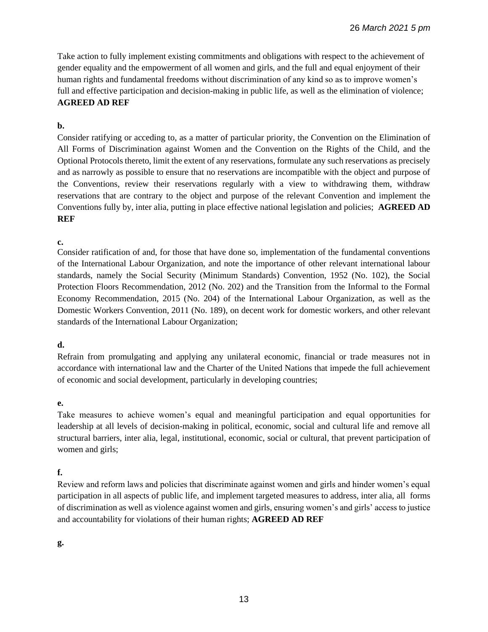Take action to fully implement existing commitments and obligations with respect to the achievement of gender equality and the empowerment of all women and girls, and the full and equal enjoyment of their human rights and fundamental freedoms without discrimination of any kind so as to improve women's full and effective participation and decision-making in public life, as well as the elimination of violence; **AGREED AD REF**

### **b.**

Consider ratifying or acceding to, as a matter of particular priority, the Convention on the Elimination of All Forms of Discrimination against Women and the Convention on the Rights of the Child, and the Optional Protocols thereto, limit the extent of any reservations, formulate any such reservations as precisely and as narrowly as possible to ensure that no reservations are incompatible with the object and purpose of the Conventions, review their reservations regularly with a view to withdrawing them, withdraw reservations that are contrary to the object and purpose of the relevant Convention and implement the Conventions fully by, inter alia, putting in place effective national legislation and policies; **AGREED AD REF**

### **c.**

Consider ratification of and, for those that have done so, implementation of the fundamental conventions of the International Labour Organization, and note the importance of other relevant international labour standards, namely the Social Security (Minimum Standards) Convention, 1952 (No. 102), the Social Protection Floors Recommendation, 2012 (No. 202) and the Transition from the Informal to the Formal Economy Recommendation, 2015 (No. 204) of the International Labour Organization, as well as the Domestic Workers Convention, 2011 (No. 189), on decent work for domestic workers, and other relevant standards of the International Labour Organization;

# **d.**

Refrain from promulgating and applying any unilateral economic, financial or trade measures not in accordance with international law and the Charter of the United Nations that impede the full achievement of economic and social development, particularly in developing countries;

### **e.**

Take measures to achieve women's equal and meaningful participation and equal opportunities for leadership at all levels of decision-making in political, economic, social and cultural life and remove all structural barriers, inter alia, legal, institutional, economic, social or cultural, that prevent participation of women and girls;

# **f.**

Review and reform laws and policies that discriminate against women and girls and hinder women's equal participation in all aspects of public life, and implement targeted measures to address, inter alia, all forms of discrimination as well as violence against women and girls, ensuring women's and girls' access to justice and accountability for violations of their human rights; **AGREED AD REF**

# **g.**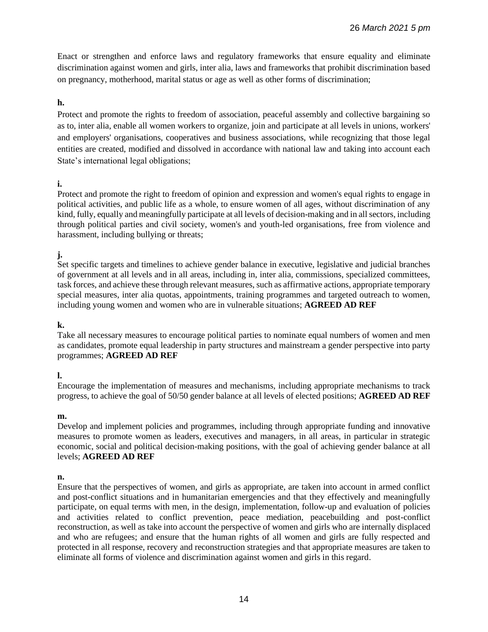Enact or strengthen and enforce laws and regulatory frameworks that ensure equality and eliminate discrimination against women and girls, inter alia, laws and frameworks that prohibit discrimination based on pregnancy, motherhood, marital status or age as well as other forms of discrimination;

# **h.**

Protect and promote the rights to freedom of association, peaceful assembly and collective bargaining so as to, inter alia, enable all women workers to organize, join and participate at all levels in unions, workers' and employers' organisations, cooperatives and business associations, while recognizing that those legal entities are created, modified and dissolved in accordance with national law and taking into account each State's international legal obligations;

# **i.**

Protect and promote the right to freedom of opinion and expression and women's equal rights to engage in political activities, and public life as a whole, to ensure women of all ages, without discrimination of any kind, fully, equally and meaningfully participate at all levels of decision-making and in all sectors, including through political parties and civil society, women's and youth-led organisations, free from violence and harassment, including bullying or threats;

# **j.**

Set specific targets and timelines to achieve gender balance in executive, legislative and judicial branches of government at all levels and in all areas, including in, inter alia, commissions, specialized committees, task forces, and achieve these through relevant measures, such as affirmative actions, appropriate temporary special measures, inter alia quotas, appointments, training programmes and targeted outreach to women, including young women and women who are in vulnerable situations; **AGREED AD REF** 

### **k.**

Take all necessary measures to encourage political parties to nominate equal numbers of women and men as candidates, promote equal leadership in party structures and mainstream a gender perspective into party programmes; **AGREED AD REF**

### **l.**

Encourage the implementation of measures and mechanisms, including appropriate mechanisms to track progress, to achieve the goal of 50/50 gender balance at all levels of elected positions; **AGREED AD REF**

### **m.**

Develop and implement policies and programmes, including through appropriate funding and innovative measures to promote women as leaders, executives and managers, in all areas, in particular in strategic economic, social and political decision-making positions, with the goal of achieving gender balance at all levels; **AGREED AD REF**

### **n.**

Ensure that the perspectives of women, and girls as appropriate, are taken into account in armed conflict and post-conflict situations and in humanitarian emergencies and that they effectively and meaningfully participate, on equal terms with men, in the design, implementation, follow-up and evaluation of policies and activities related to conflict prevention, peace mediation, peacebuilding and post-conflict reconstruction, as well as take into account the perspective of women and girls who are internally displaced and who are refugees; and ensure that the human rights of all women and girls are fully respected and protected in all response, recovery and reconstruction strategies and that appropriate measures are taken to eliminate all forms of violence and discrimination against women and girls in this regard.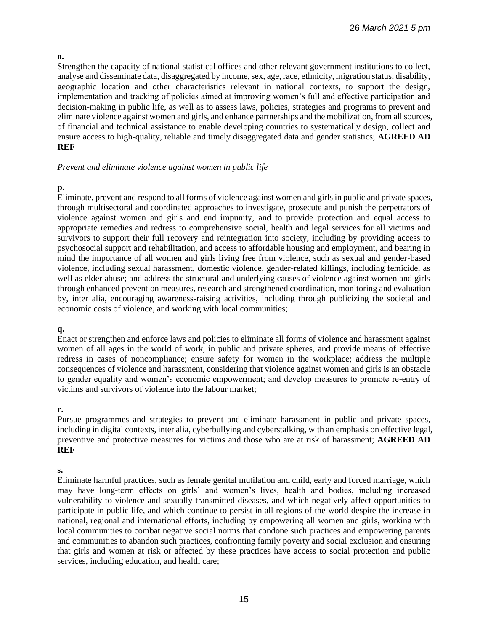#### **o.**

Strengthen the capacity of national statistical offices and other relevant government institutions to collect, analyse and disseminate data, disaggregated by income, sex, age, race, ethnicity, migration status, disability, geographic location and other characteristics relevant in national contexts, to support the design, implementation and tracking of policies aimed at improving women's full and effective participation and decision-making in public life, as well as to assess laws, policies, strategies and programs to prevent and eliminate violence against women and girls, and enhance partnerships and the mobilization, from all sources, of financial and technical assistance to enable developing countries to systematically design, collect and ensure access to high-quality, reliable and timely disaggregated data and gender statistics; **AGREED AD REF**

#### *Prevent and eliminate violence against women in public life*

### **p.**

Eliminate, prevent and respond to all forms of violence against women and girls in public and private spaces, through multisectoral and coordinated approaches to investigate, prosecute and punish the perpetrators of violence against women and girls and end impunity, and to provide protection and equal access to appropriate remedies and redress to comprehensive social, health and legal services for all victims and survivors to support their full recovery and reintegration into society, including by providing access to psychosocial support and rehabilitation, and access to affordable housing and employment, and bearing in mind the importance of all women and girls living free from violence, such as sexual and gender-based violence, including sexual harassment, domestic violence, gender-related killings, including femicide, as well as elder abuse; and address the structural and underlying causes of violence against women and girls through enhanced prevention measures, research and strengthened coordination, monitoring and evaluation by, inter alia, encouraging awareness-raising activities, including through publicizing the societal and economic costs of violence, and working with local communities;

### **q.**

Enact or strengthen and enforce laws and policies to eliminate all forms of violence and harassment against women of all ages in the world of work, in public and private spheres, and provide means of effective redress in cases of noncompliance; ensure safety for women in the workplace; address the multiple consequences of violence and harassment, considering that violence against women and girls is an obstacle to gender equality and women's economic empowerment; and develop measures to promote re-entry of victims and survivors of violence into the labour market;

### **r.**

Pursue programmes and strategies to prevent and eliminate harassment in public and private spaces, including in digital contexts, inter alia, cyberbullying and cyberstalking, with an emphasis on effective legal, preventive and protective measures for victims and those who are at risk of harassment; **AGREED AD REF**

# **s.**

Eliminate harmful practices, such as female genital mutilation and child, early and forced marriage, which may have long-term effects on girls' and women's lives, health and bodies, including increased vulnerability to violence and sexually transmitted diseases, and which negatively affect opportunities to participate in public life, and which continue to persist in all regions of the world despite the increase in national, regional and international efforts, including by empowering all women and girls, working with local communities to combat negative social norms that condone such practices and empowering parents and communities to abandon such practices, confronting family poverty and social exclusion and ensuring that girls and women at risk or affected by these practices have access to social protection and public services, including education, and health care;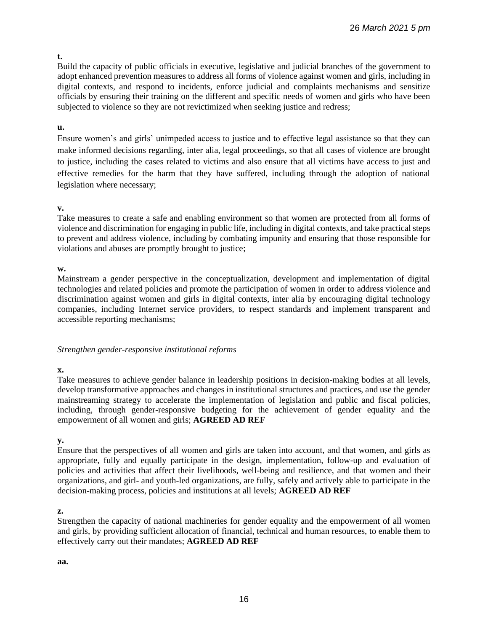### **t.**

Build the capacity of public officials in executive, legislative and judicial branches of the government to adopt enhanced prevention measures to address all forms of violence against women and girls, including in digital contexts, and respond to incidents, enforce judicial and complaints mechanisms and sensitize officials by ensuring their training on the different and specific needs of women and girls who have been subjected to violence so they are not revictimized when seeking justice and redress;

### **u.**

Ensure women's and girls' unimpeded access to justice and to effective legal assistance so that they can make informed decisions regarding, inter alia, legal proceedings, so that all cases of violence are brought to justice, including the cases related to victims and also ensure that all victims have access to just and effective remedies for the harm that they have suffered, including through the adoption of national legislation where necessary;

### **v.**

Take measures to create a safe and enabling environment so that women are protected from all forms of violence and discrimination for engaging in public life, including in digital contexts, and take practical steps to prevent and address violence, including by combating impunity and ensuring that those responsible for violations and abuses are promptly brought to justice;

### **w.**

Mainstream a gender perspective in the conceptualization, development and implementation of digital technologies and related policies and promote the participation of women in order to address violence and discrimination against women and girls in digital contexts, inter alia by encouraging digital technology companies, including Internet service providers, to respect standards and implement transparent and accessible reporting mechanisms;

### *Strengthen gender-responsive institutional reforms*

# **x.**

Take measures to achieve gender balance in leadership positions in decision-making bodies at all levels, develop transformative approaches and changes in institutional structures and practices, and use the gender mainstreaming strategy to accelerate the implementation of legislation and public and fiscal policies, including, through gender-responsive budgeting for the achievement of gender equality and the empowerment of all women and girls; **AGREED AD REF**

### **y.**

Ensure that the perspectives of all women and girls are taken into account, and that women, and girls as appropriate, fully and equally participate in the design, implementation, follow-up and evaluation of policies and activities that affect their livelihoods, well-being and resilience, and that women and their organizations, and girl- and youth-led organizations, are fully, safely and actively able to participate in the decision-making process, policies and institutions at all levels; **AGREED AD REF**

### **z.**

Strengthen the capacity of national machineries for gender equality and the empowerment of all women and girls, by providing sufficient allocation of financial, technical and human resources, to enable them to effectively carry out their mandates; **AGREED AD REF** 

#### **aa.**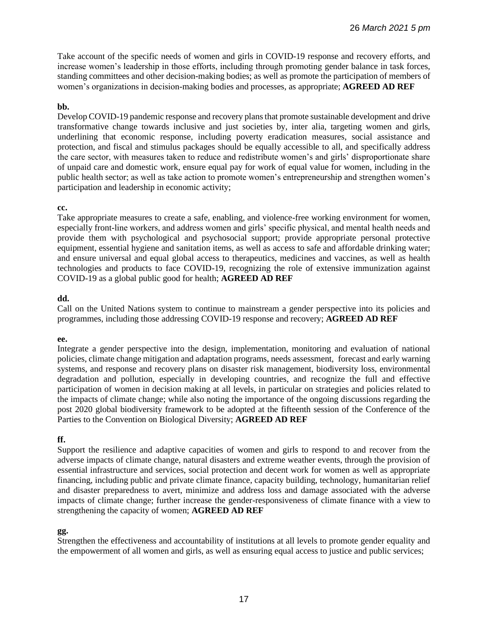Take account of the specific needs of women and girls in COVID-19 response and recovery efforts, and increase women's leadership in those efforts, including through promoting gender balance in task forces, standing committees and other decision-making bodies; as well as promote the participation of members of women's organizations in decision-making bodies and processes, as appropriate; **AGREED AD REF**

#### **bb.**

Develop COVID-19 pandemic response and recovery plans that promote sustainable development and drive transformative change towards inclusive and just societies by, inter alia, targeting women and girls, underlining that economic response, including poverty eradication measures, social assistance and protection, and fiscal and stimulus packages should be equally accessible to all, and specifically address the care sector, with measures taken to reduce and redistribute women's and girls' disproportionate share of unpaid care and domestic work, ensure equal pay for work of equal value for women, including in the public health sector; as well as take action to promote women's entrepreneurship and strengthen women's participation and leadership in economic activity;

#### **cc.**

Take appropriate measures to create a safe, enabling, and violence-free working environment for women, especially front-line workers, and address women and girls' specific physical, and mental health needs and provide them with psychological and psychosocial support; provide appropriate personal protective equipment, essential hygiene and sanitation items, as well as access to safe and affordable drinking water; and ensure universal and equal global access to therapeutics, medicines and vaccines, as well as health technologies and products to face COVID-19, recognizing the role of extensive immunization against COVID-19 as a global public good for health; **AGREED AD REF**

#### **dd.**

Call on the United Nations system to continue to mainstream a gender perspective into its policies and programmes, including those addressing COVID-19 response and recovery; **AGREED AD REF**

#### **ee.**

Integrate a gender perspective into the design, implementation, monitoring and evaluation of national policies, climate change mitigation and adaptation programs, needs assessment, forecast and early warning systems, and response and recovery plans on disaster risk management, biodiversity loss, environmental degradation and pollution, especially in developing countries, and recognize the full and effective participation of women in decision making at all levels, in particular on strategies and policies related to the impacts of climate change; while also noting the importance of the ongoing discussions regarding the post 2020 global biodiversity framework to be adopted at the fifteenth session of the Conference of the Parties to the Convention on Biological Diversity; **AGREED AD REF**

### **ff.**

Support the resilience and adaptive capacities of women and girls to respond to and recover from the adverse impacts of climate change, natural disasters and extreme weather events, through the provision of essential infrastructure and services, social protection and decent work for women as well as appropriate financing, including public and private climate finance, capacity building, technology, humanitarian relief and disaster preparedness to avert, minimize and address loss and damage associated with the adverse impacts of climate change; further increase the gender-responsiveness of climate finance with a view to strengthening the capacity of women; **AGREED AD REF**

### **gg.**

Strengthen the effectiveness and accountability of institutions at all levels to promote gender equality and the empowerment of all women and girls, as well as ensuring equal access to justice and public services;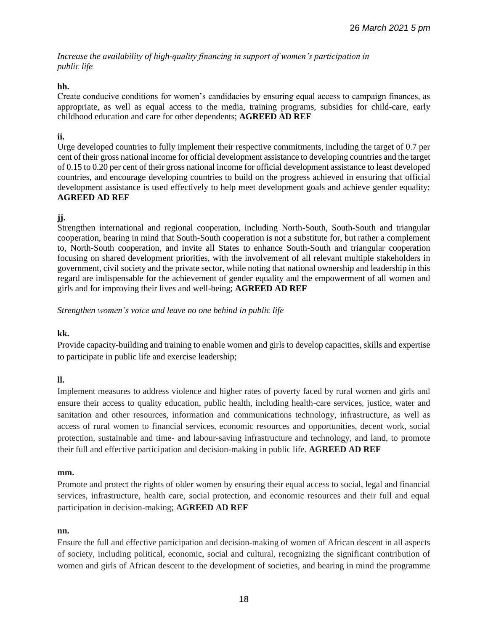*Increase the availability of high-quality financing in support of women's participation in public life*

# **hh.**

Create conducive conditions for women's candidacies by ensuring equal access to campaign finances, as appropriate, as well as equal access to the media, training programs, subsidies for child-care, early childhood education and care for other dependents; **AGREED AD REF**

### **ii.**

Urge developed countries to fully implement their respective commitments, including the target of 0.7 per cent of their gross national income for official development assistance to developing countries and the target of 0.15 to 0.20 per cent of their gross national income for official development assistance to least developed countries, and encourage developing countries to build on the progress achieved in ensuring that official development assistance is used effectively to help meet development goals and achieve gender equality; **AGREED AD REF**

# **jj.**

Strengthen international and regional cooperation, including North-South, South-South and triangular cooperation, bearing in mind that South-South cooperation is not a substitute for, but rather a complement to, North-South cooperation, and invite all States to enhance South-South and triangular cooperation focusing on shared development priorities, with the involvement of all relevant multiple stakeholders in government, civil society and the private sector, while noting that national ownership and leadership in this regard are indispensable for the achievement of gender equality and the empowerment of all women and girls and for improving their lives and well-being; **AGREED AD REF**

*Strengthen women's voice and leave no one behind in public life* 

# **kk.**

Provide capacity-building and training to enable women and girls to develop capacities, skills and expertise to participate in public life and exercise leadership;

# **ll.**

Implement measures to address violence and higher rates of poverty faced by rural women and girls and ensure their access to quality education, public health, including health-care services, justice, water and sanitation and other resources, information and communications technology, infrastructure, as well as access of rural women to financial services, economic resources and opportunities, decent work, social protection, sustainable and time- and labour-saving infrastructure and technology, and land, to promote their full and effective participation and decision-making in public life. **AGREED AD REF**

# **mm.**

Promote and protect the rights of older women by ensuring their equal access to social, legal and financial services, infrastructure, health care, social protection, and economic resources and their full and equal participation in decision-making; **AGREED AD REF**

### **nn.**

Ensure the full and effective participation and decision-making of women of African descent in all aspects of society, including political, economic, social and cultural, recognizing the significant contribution of women and girls of African descent to the development of societies, and bearing in mind the programme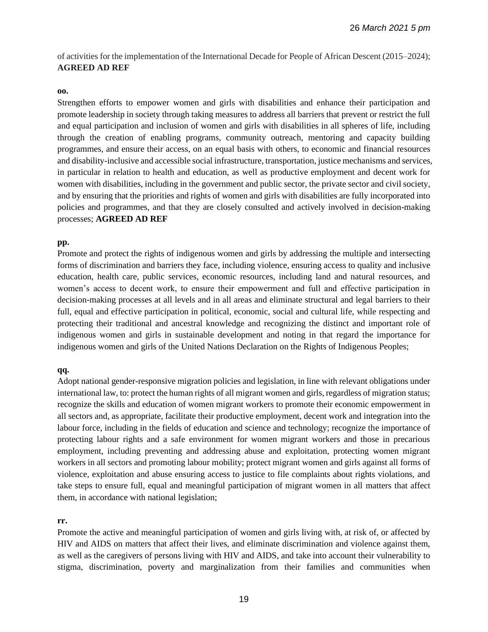of activities for the implementation of the International Decade for People of African Descent (2015–2024); **AGREED AD REF**

#### **oo.**

Strengthen efforts to empower women and girls with disabilities and enhance their participation and promote leadership in society through taking measures to address all barriers that prevent or restrict the full and equal participation and inclusion of women and girls with disabilities in all spheres of life, including through the creation of enabling programs, community outreach, mentoring and capacity building programmes, and ensure their access, on an equal basis with others, to economic and financial resources and disability-inclusive and accessible social infrastructure, transportation, justice mechanisms and services, in particular in relation to health and education, as well as productive employment and decent work for women with disabilities, including in the government and public sector, the private sector and civil society, and by ensuring that the priorities and rights of women and girls with disabilities are fully incorporated into policies and programmes, and that they are closely consulted and actively involved in decision-making processes; **AGREED AD REF**

#### **pp.**

Promote and protect the rights of indigenous women and girls by addressing the multiple and intersecting forms of discrimination and barriers they face, including violence, ensuring access to quality and inclusive education, health care, public services, economic resources, including land and natural resources, and women's access to decent work, to ensure their empowerment and full and effective participation in decision-making processes at all levels and in all areas and eliminate structural and legal barriers to their full, equal and effective participation in political, economic, social and cultural life, while respecting and protecting their traditional and ancestral knowledge and recognizing the distinct and important role of indigenous women and girls in sustainable development and noting in that regard the importance for indigenous women and girls of the United Nations Declaration on the Rights of Indigenous Peoples;

#### **qq.**

Adopt national gender-responsive migration policies and legislation, in line with relevant obligations under international law, to: protect the human rights of all migrant women and girls, regardless of migration status; recognize the skills and education of women migrant workers to promote their economic empowerment in all sectors and, as appropriate, facilitate their productive employment, decent work and integration into the labour force, including in the fields of education and science and technology; recognize the importance of protecting labour rights and a safe environment for women migrant workers and those in precarious employment, including preventing and addressing abuse and exploitation, protecting women migrant workers in all sectors and promoting labour mobility; protect migrant women and girls against all forms of violence, exploitation and abuse ensuring access to justice to file complaints about rights violations, and take steps to ensure full, equal and meaningful participation of migrant women in all matters that affect them, in accordance with national legislation;

#### **rr.**

Promote the active and meaningful participation of women and girls living with, at risk of, or affected by HIV and AIDS on matters that affect their lives, and eliminate discrimination and violence against them, as well as the caregivers of persons living with HIV and AIDS, and take into account their vulnerability to stigma, discrimination, poverty and marginalization from their families and communities when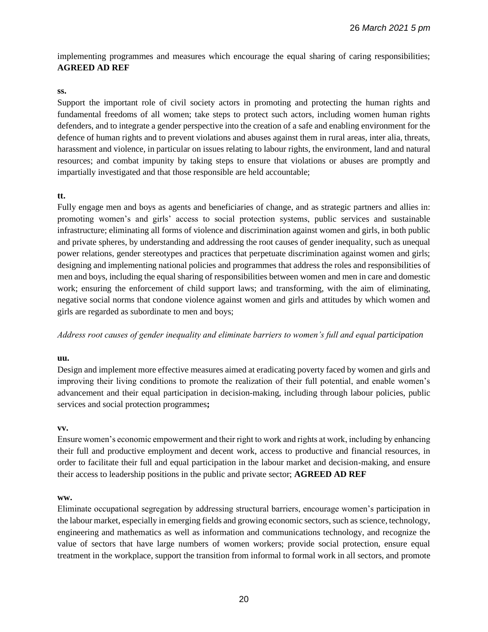implementing programmes and measures which encourage the equal sharing of caring responsibilities; **AGREED AD REF**

#### **ss.**

Support the important role of civil society actors in promoting and protecting the human rights and fundamental freedoms of all women; take steps to protect such actors, including women human rights defenders, and to integrate a gender perspective into the creation of a safe and enabling environment for the defence of human rights and to prevent violations and abuses against them in rural areas, inter alia, threats, harassment and violence, in particular on issues relating to labour rights, the environment, land and natural resources; and combat impunity by taking steps to ensure that violations or abuses are promptly and impartially investigated and that those responsible are held accountable;

### **tt.**

Fully engage men and boys as agents and beneficiaries of change, and as strategic partners and allies in: promoting women's and girls' access to social protection systems, public services and sustainable infrastructure; eliminating all forms of violence and discrimination against women and girls, in both public and private spheres, by understanding and addressing the root causes of gender inequality, such as unequal power relations, gender stereotypes and practices that perpetuate discrimination against women and girls; designing and implementing national policies and programmes that address the roles and responsibilities of men and boys, including the equal sharing of responsibilities between women and men in care and domestic work; ensuring the enforcement of child support laws; and transforming, with the aim of eliminating, negative social norms that condone violence against women and girls and attitudes by which women and girls are regarded as subordinate to men and boys;

*Address root causes of gender inequality and eliminate barriers to women's full and equal participation*

#### **uu.**

Design and implement more effective measures aimed at eradicating poverty faced by women and girls and improving their living conditions to promote the realization of their full potential, and enable women's advancement and their equal participation in decision-making, including through labour policies, public services and social protection programmes**;**

#### **vv.**

Ensure women's economic empowerment and their right to work and rights at work, including by enhancing their full and productive employment and decent work, access to productive and financial resources, in order to facilitate their full and equal participation in the labour market and decision-making, and ensure their access to leadership positions in the public and private sector; **AGREED AD REF**

#### **ww.**

Eliminate occupational segregation by addressing structural barriers, encourage women's participation in the labour market, especially in emerging fields and growing economic sectors, such as science, technology, engineering and mathematics as well as information and communications technology, and recognize the value of sectors that have large numbers of women workers; provide social protection, ensure equal treatment in the workplace, support the transition from informal to formal work in all sectors, and promote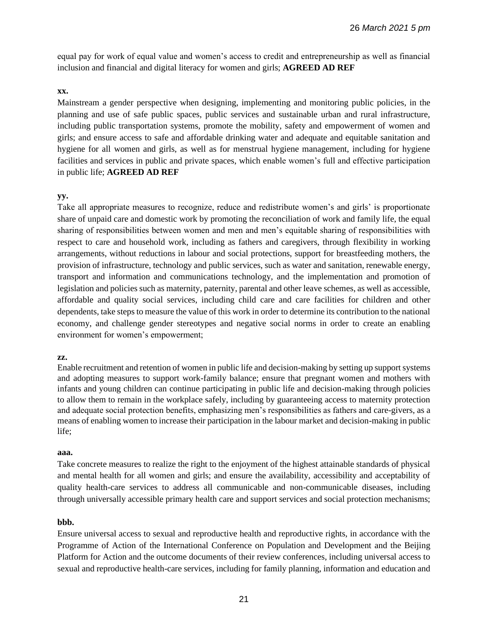equal pay for work of equal value and women's access to credit and entrepreneurship as well as financial inclusion and financial and digital literacy for women and girls; **AGREED AD REF**

### **xx.**

Mainstream a gender perspective when designing, implementing and monitoring public policies, in the planning and use of safe public spaces, public services and sustainable urban and rural infrastructure, including public transportation systems, promote the mobility, safety and empowerment of women and girls; and ensure access to safe and affordable drinking water and adequate and equitable sanitation and hygiene for all women and girls, as well as for menstrual hygiene management, including for hygiene facilities and services in public and private spaces, which enable women's full and effective participation in public life; **AGREED AD REF**

### **yy.**

Take all appropriate measures to recognize, reduce and redistribute women's and girls' is proportionate share of unpaid care and domestic work by promoting the reconciliation of work and family life, the equal sharing of responsibilities between women and men and men's equitable sharing of responsibilities with respect to care and household work, including as fathers and caregivers, through flexibility in working arrangements, without reductions in labour and social protections, support for breastfeeding mothers, the provision of infrastructure, technology and public services, such as water and sanitation, renewable energy, transport and information and communications technology, and the implementation and promotion of legislation and policies such as maternity, paternity, parental and other leave schemes, as well as accessible, affordable and quality social services, including child care and care facilities for children and other dependents, take steps to measure the value of this work in order to determine its contribution to the national economy, and challenge gender stereotypes and negative social norms in order to create an enabling environment for women's empowerment;

### **zz.**

Enable recruitment and retention of women in public life and decision-making by setting up support systems and adopting measures to support work-family balance; ensure that pregnant women and mothers with infants and young children can continue participating in public life and decision-making through policies to allow them to remain in the workplace safely, including by guaranteeing access to maternity protection and adequate social protection benefits, emphasizing men's responsibilities as fathers and care-givers, as a means of enabling women to increase their participation in the labour market and decision-making in public life;

#### **aaa.**

Take concrete measures to realize the right to the enjoyment of the highest attainable standards of physical and mental health for all women and girls; and ensure the availability, accessibility and acceptability of quality health-care services to address all communicable and non-communicable diseases, including through universally accessible primary health care and support services and social protection mechanisms;

### **bbb.**

Ensure universal access to sexual and reproductive health and reproductive rights, in accordance with the Programme of Action of the International Conference on Population and Development and the Beijing Platform for Action and the outcome documents of their review conferences, including universal access to sexual and reproductive health-care services, including for family planning, information and education and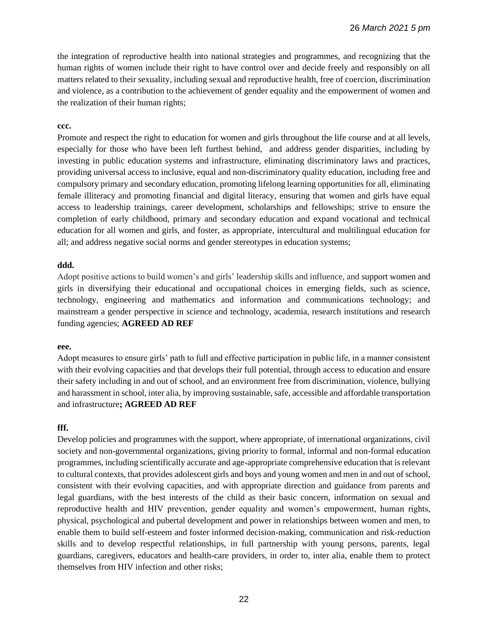the integration of reproductive health into national strategies and programmes, and recognizing that the human rights of women include their right to have control over and decide freely and responsibly on all matters related to their sexuality, including sexual and reproductive health, free of coercion, discrimination and violence, as a contribution to the achievement of gender equality and the empowerment of women and the realization of their human rights;

#### **ccc.**

Promote and respect the right to education for women and girls throughout the life course and at all levels, especially for those who have been left furthest behind, and address gender disparities, including by investing in public education systems and infrastructure, eliminating discriminatory laws and practices, providing universal access to inclusive, equal and non-discriminatory quality education, including free and compulsory primary and secondary education, promoting lifelong learning opportunities for all, eliminating female illiteracy and promoting financial and digital literacy, ensuring that women and girls have equal access to leadership trainings, career development, scholarships and fellowships; strive to ensure the completion of early childhood, primary and secondary education and expand vocational and technical education for all women and girls, and foster, as appropriate, intercultural and multilingual education for all; and address negative social norms and gender stereotypes in education systems;

### **ddd.**

Adopt positive actions to build women's and girls' leadership skills and influence, and support women and girls in diversifying their educational and occupational choices in emerging fields, such as science, technology, engineering and mathematics and information and communications technology; and mainstream a gender perspective in science and technology, academia, research institutions and research funding agencies; **AGREED AD REF**

#### **eee.**

Adopt measures to ensure girls' path to full and effective participation in public life, in a manner consistent with their evolving capacities and that develops their full potential, through access to education and ensure their safety including in and out of school, and an environment free from discrimination, violence, bullying and harassment in school, inter alia, by improving sustainable, safe, accessible and affordable transportation and infrastructure**; AGREED AD REF**

### **fff.**

Develop policies and programmes with the support, where appropriate, of international organizations, civil society and non-governmental organizations, giving priority to formal, informal and non-formal education programmes, including scientifically accurate and age-appropriate comprehensive education that is relevant to cultural contexts, that provides adolescent girls and boys and young women and men in and out of school, consistent with their evolving capacities, and with appropriate direction and guidance from parents and legal guardians, with the best interests of the child as their basic concern, information on sexual and reproductive health and HIV prevention, gender equality and women's empowerment, human rights, physical, psychological and pubertal development and power in relationships between women and men, to enable them to build self-esteem and foster informed decision-making, communication and risk-reduction skills and to develop respectful relationships, in full partnership with young persons, parents, legal guardians, caregivers, educators and health-care providers, in order to, inter alia, enable them to protect themselves from HIV infection and other risks;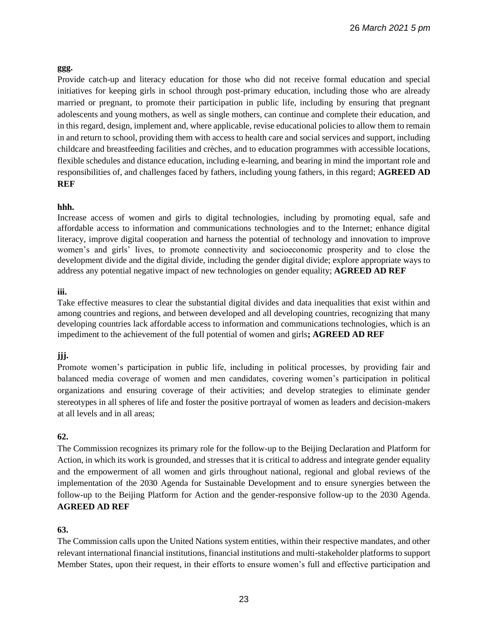### **ggg.**

Provide catch-up and literacy education for those who did not receive formal education and special initiatives for keeping girls in school through post-primary education, including those who are already married or pregnant, to promote their participation in public life, including by ensuring that pregnant adolescents and young mothers, as well as single mothers, can continue and complete their education, and in this regard, design, implement and, where applicable, revise educational policies to allow them to remain in and return to school, providing them with access to health care and social services and support, including childcare and breastfeeding facilities and crèches, and to education programmes with accessible locations, flexible schedules and distance education, including e-learning, and bearing in mind the important role and responsibilities of, and challenges faced by fathers, including young fathers, in this regard; **AGREED AD REF**

### **hhh.**

Increase access of women and girls to digital technologies, including by promoting equal, safe and affordable access to information and communications technologies and to the Internet; enhance digital literacy, improve digital cooperation and harness the potential of technology and innovation to improve women's and girls' lives, to promote connectivity and socioeconomic prosperity and to close the development divide and the digital divide, including the gender digital divide; explore appropriate ways to address any potential negative impact of new technologies on gender equality; **AGREED AD REF**

### **iii.**

Take effective measures to clear the substantial digital divides and data inequalities that exist within and among countries and regions, and between developed and all developing countries, recognizing that many developing countries lack affordable access to information and communications technologies, which is an impediment to the achievement of the full potential of women and girls**; AGREED AD REF** 

# **jjj.**

Promote women's participation in public life, including in political processes, by providing fair and balanced media coverage of women and men candidates, covering women's participation in political organizations and ensuring coverage of their activities; and develop strategies to eliminate gender stereotypes in all spheres of life and foster the positive portrayal of women as leaders and decision-makers at all levels and in all areas;

# **62.**

The Commission recognizes its primary role for the follow-up to the Beijing Declaration and Platform for Action, in which its work is grounded, and stresses that it is critical to address and integrate gender equality and the empowerment of all women and girls throughout national, regional and global reviews of the implementation of the 2030 Agenda for Sustainable Development and to ensure synergies between the follow-up to the Beijing Platform for Action and the gender-responsive follow-up to the 2030 Agenda. **AGREED AD REF**

# **63.**

The Commission calls upon the United Nations system entities, within their respective mandates, and other relevant international financial institutions, financial institutions and multi-stakeholder platforms to support Member States, upon their request, in their efforts to ensure women's full and effective participation and